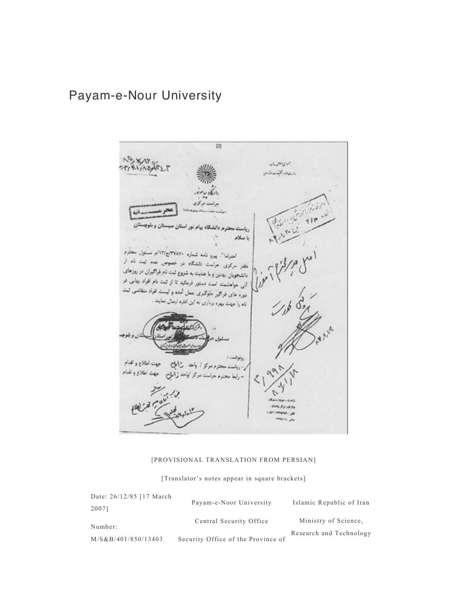# Payam-e-Nour University

 $[2] \centering% \includegraphics[width=1.0\textwidth]{Figures/PG1.pdf} \caption{The 3D (black) model for the $2D$-error of the estimators in the left and right. The left and right is the same as in the right.} \label{fig:1}$ Next بمولاتهما つじょ かいりへる رارشام والوضاء ات ۵ι م دانشگاه بیام نور باسلام اختراعا". يبرو نامه شماره ١٣٧٨٧٠ج/١٢/م مسئول معترم دفتر سرکری هراست داشگاه در خصوص عدم تيت تام از با عنایت به شروع ثبت نام فراگیران در روزهای والشجويان بهابن و وسنجویان بهایی و به سنور فرمائید تا از ثبت نام افراد بهایی در<br>انی خواهشمند است دستور فرمائید تا از ثبت نام افراد بهایی در اس خواستند.<br>دوره های فراگیز خوکبری بعمل آمده و ایست افراد متقاضی ثبت دوره<br>نام را جهت بهدره برداری به این اعتره ارسال نعایند . رولولىت : اطلاع a

#### [PROVISIONAL TRANSLATION FROM PERSIAN]

[Translator's notes appear in square brackets]

| Date: 26/12/85 [17 March] | Payam-e-Noor University            | Islamic Republic of Iran |
|---------------------------|------------------------------------|--------------------------|
| 2007]                     |                                    |                          |
| Number:                   | Central Security Office            | Ministry of Science.     |
|                           |                                    | Research and Technology  |
| M/S&B/401/850/13403       | Security Office of the Province of |                          |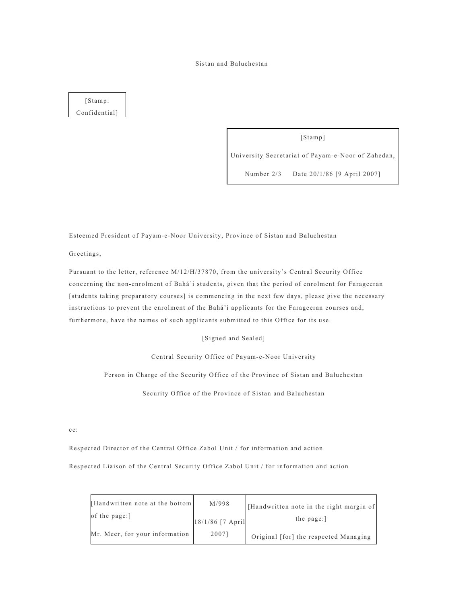#### Sistan and Baluchestan

### [Stamp: Confidential]

[Stamp]

University Secretariat of Payam-e-Noor of Zahedan,

Number 2/3 Date 20/1/86 [9 April 2007]

Esteemed President of Payam-e-Noor University, Province of Sistan and Baluchestan

Greetings,

Pursuant to the letter, reference M/12/H/37870, from the university's Central Security Office concerning the non-enrolment of Bahá'í students, given that the period of enrolment for Farageeran [students taking preparatory courses] is commencing in the next few days, please give the necessary instructions to prevent the enrolment of the Bahá'í applicants for the Farageeran courses and, furthermore, have the names of such applicants submitted to this Office for its use.

[Signed and Sealed]

Central Security Office of Payam-e-Noor University

Person in Charge of the Security Office of the Province of Sistan and Baluchestan

Security Office of the Province of Sistan and Baluchestan

cc:

Respected Director of the Central Office Zabol Unit / for information and action

Respected Liaison of the Central Security Office Zabol Unit / for information and action

| [Handwritten note at the bottom] | M/998               | [Handwritten note in the right margin of |
|----------------------------------|---------------------|------------------------------------------|
| of the page:                     | $18/1/86$ [7 April] | the page:                                |
| Mr. Meer, for your information   | 2007]               | Original [for] the respected Managing    |